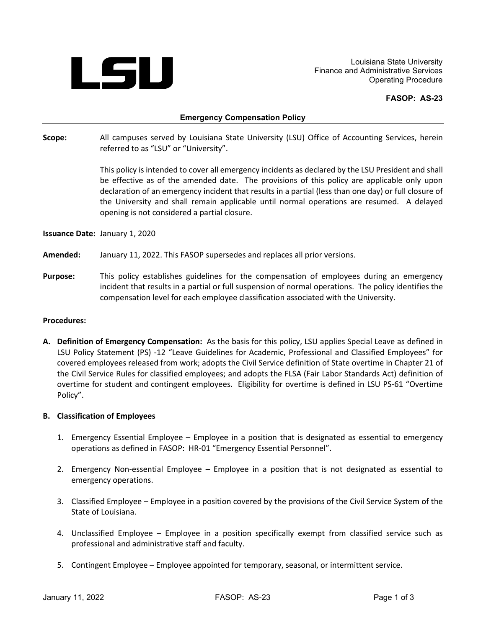

Louisiana State University Finance and Administrative Services Operating Procedure

### **FASOP: AS-23**

#### **Emergency Compensation Policy**

**Scope:** All campuses served by Louisiana State University (LSU) Office of Accounting Services, herein referred to as "LSU" or "University".

> This policy is intended to cover all emergency incidents as declared by the LSU President and shall be effective as of the amended date. The provisions of this policy are applicable only upon declaration of an emergency incident that results in a partial (less than one day) or full closure of the University and shall remain applicable until normal operations are resumed. A delayed opening is not considered a partial closure.

**Issuance Date:** January 1, 2020

- **Amended:** January 11, 2022. This FASOP supersedes and replaces all prior versions.
- **Purpose:** This policy establishes guidelines for the compensation of employees during an emergency incident that results in a partial or full suspension of normal operations. The policy identifies the compensation level for each employee classification associated with the University.

#### **Procedures:**

**A. Definition of Emergency Compensation:** As the basis for this policy, LSU applies Special Leave as defined in LSU Policy Statement (PS) -12 "Leave Guidelines for Academic, Professional and Classified Employees" for covered employees released from work; adopts the Civil Service definition of State overtime in Chapter 21 of the Civil Service Rules for classified employees; and adopts the FLSA (Fair Labor Standards Act) definition of overtime for student and contingent employees. Eligibility for overtime is defined in LSU PS-61 "Overtime Policy".

#### **B. Classification of Employees**

- 1. Emergency Essential Employee Employee in a position that is designated as essential to emergency operations as defined in FASOP: HR-01 "Emergency Essential Personnel".
- 2. Emergency Non-essential Employee Employee in a position that is not designated as essential to emergency operations.
- 3. Classified Employee Employee in a position covered by the provisions of the Civil Service System of the State of Louisiana.
- 4. Unclassified Employee Employee in a position specifically exempt from classified service such as professional and administrative staff and faculty.
- 5. Contingent Employee Employee appointed for temporary, seasonal, or intermittent service.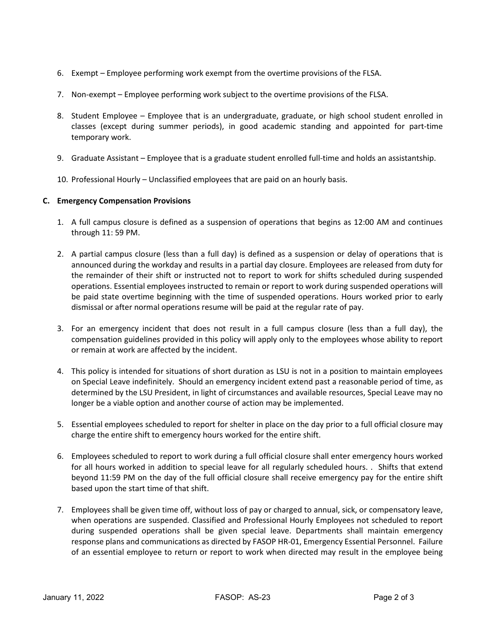- 6. Exempt Employee performing work exempt from the overtime provisions of the FLSA.
- 7. Non-exempt Employee performing work subject to the overtime provisions of the FLSA.
- 8. Student Employee Employee that is an undergraduate, graduate, or high school student enrolled in classes (except during summer periods), in good academic standing and appointed for part-time temporary work.
- 9. Graduate Assistant Employee that is a graduate student enrolled full-time and holds an assistantship.
- 10. Professional Hourly Unclassified employees that are paid on an hourly basis.

## **C. Emergency Compensation Provisions**

- 1. A full campus closure is defined as a suspension of operations that begins as 12:00 AM and continues through 11: 59 PM.
- 2. A partial campus closure (less than a full day) is defined as a suspension or delay of operations that is announced during the workday and results in a partial day closure. Employees are released from duty for the remainder of their shift or instructed not to report to work for shifts scheduled during suspended operations. Essential employees instructed to remain or report to work during suspended operations will be paid state overtime beginning with the time of suspended operations. Hours worked prior to early dismissal or after normal operations resume will be paid at the regular rate of pay.
- 3. For an emergency incident that does not result in a full campus closure (less than a full day), the compensation guidelines provided in this policy will apply only to the employees whose ability to report or remain at work are affected by the incident.
- 4. This policy is intended for situations of short duration as LSU is not in a position to maintain employees on Special Leave indefinitely. Should an emergency incident extend past a reasonable period of time, as determined by the LSU President, in light of circumstances and available resources, Special Leave may no longer be a viable option and another course of action may be implemented.
- 5. Essential employees scheduled to report for shelter in place on the day prior to a full official closure may charge the entire shift to emergency hours worked for the entire shift.
- 6. Employees scheduled to report to work during a full official closure shall enter emergency hours worked for all hours worked in addition to special leave for all regularly scheduled hours. . Shifts that extend beyond 11:59 PM on the day of the full official closure shall receive emergency pay for the entire shift based upon the start time of that shift.
- 7. Employees shall be given time off, without loss of pay or charged to annual, sick, or compensatory leave, when operations are suspended. Classified and Professional Hourly Employees not scheduled to report during suspended operations shall be given special leave. Departments shall maintain emergency response plans and communications as directed by FASOP HR-01, Emergency Essential Personnel. Failure of an essential employee to return or report to work when directed may result in the employee being